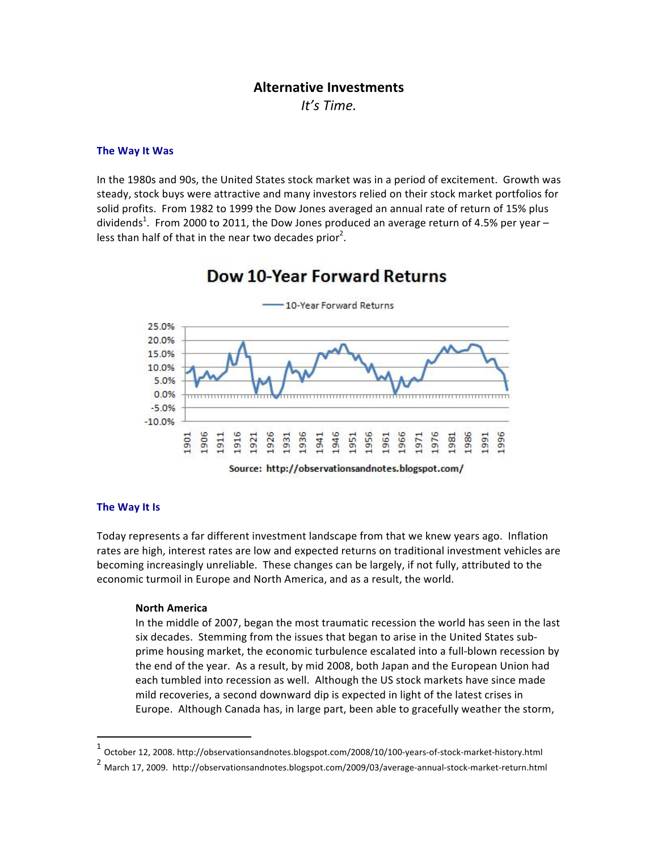# **Alternative Investments**

*It's Time.*

## **The Way It Was**

In the 1980s and 90s, the United States stock market was in a period of excitement. Growth was steady, stock buys were attractive and many investors relied on their stock market portfolios for solid profits. From 1982 to 1999 the Dow Jones averaged an annual rate of return of 15% plus dividends<sup>1</sup>. From 2000 to 2011, the Dow Jones produced an average return of 4.5% per year – less than half of that in the near two decades prior<sup>2</sup>.



# **Dow 10-Year Forward Returns**

### **The Way It Is**

Today represents a far different investment landscape from that we knew years ago. Inflation rates are high, interest rates are low and expected returns on traditional investment vehicles are becoming increasingly unreliable. These changes can be largely, if not fully, attributed to the economic turmoil in Europe and North America, and as a result, the world.

### **North America**

<u> 1989 - Johann Stein, markin film yn y breninn y breninn y breninn y breninn y breninn y breninn y breninn y b</u>

In the middle of 2007, began the most traumatic recession the world has seen in the last six decades. Stemming from the issues that began to arise in the United States subprime housing market, the economic turbulence escalated into a full-blown recession by the end of the year. As a result, by mid 2008, both Japan and the European Union had each tumbled into recession as well. Although the US stock markets have since made mild recoveries, a second downward dip is expected in light of the latest crises in Europe. Although Canada has, in large part, been able to gracefully weather the storm,

 $1$  October 12, 2008. http://observationsandnotes.blogspot.com/2008/10/100-years-of-stock-market-history.html

 $2$  March 17, 2009. http://observationsandnotes.blogspot.com/2009/03/average-annual-stock-market-return.html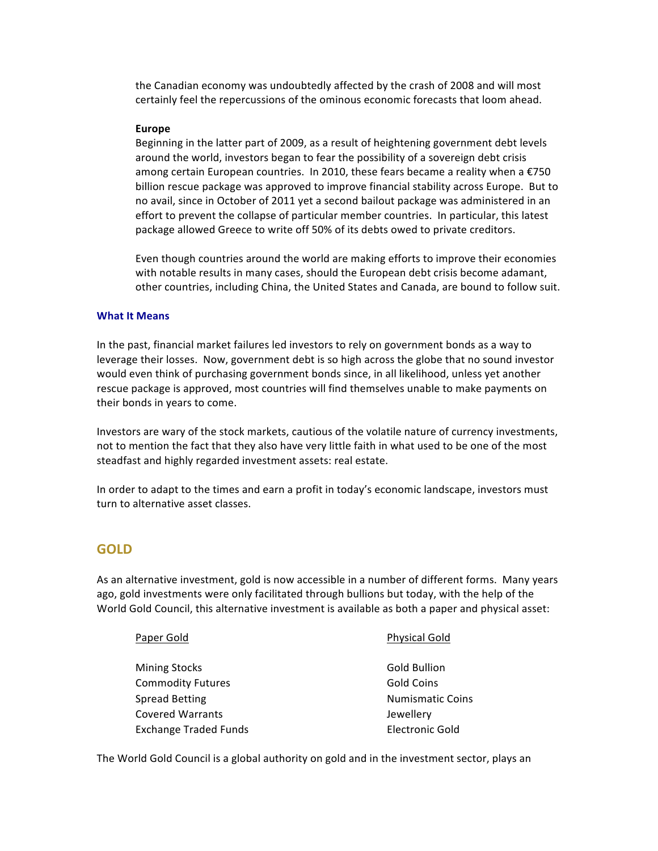the Canadian economy was undoubtedly affected by the crash of 2008 and will most certainly feel the repercussions of the ominous economic forecasts that loom ahead.

#### **Europe**

Beginning in the latter part of 2009, as a result of heightening government debt levels around the world, investors began to fear the possibility of a sovereign debt crisis among certain European countries. In 2010, these fears became a reality when a  $E$ 750 billion rescue package was approved to improve financial stability across Europe. But to no avail, since in October of 2011 yet a second bailout package was administered in an effort to prevent the collapse of particular member countries. In particular, this latest package allowed Greece to write off 50% of its debts owed to private creditors.

Even though countries around the world are making efforts to improve their economies with notable results in many cases, should the European debt crisis become adamant, other countries, including China, the United States and Canada, are bound to follow suit.

#### **What It Means**

In the past, financial market failures led investors to rely on government bonds as a way to leverage their losses. Now, government debt is so high across the globe that no sound investor would even think of purchasing government bonds since, in all likelihood, unless yet another rescue package is approved, most countries will find themselves unable to make payments on their bonds in years to come.

Investors are wary of the stock markets, cautious of the volatile nature of currency investments, not to mention the fact that they also have very little faith in what used to be one of the most steadfast and highly regarded investment assets: real estate.

In order to adapt to the times and earn a profit in today's economic landscape, investors must turn to alternative asset classes.

# **GOLD**

As an alternative investment, gold is now accessible in a number of different forms. Many years ago, gold investments were only facilitated through bullions but today, with the help of the World Gold Council, this alternative investment is available as both a paper and physical asset:

| Paper Gold                   | <b>Physical Gold</b>    |
|------------------------------|-------------------------|
| <b>Mining Stocks</b>         | Gold Bullion            |
| <b>Commodity Futures</b>     | Gold Coins              |
| <b>Spread Betting</b>        | <b>Numismatic Coins</b> |
| <b>Covered Warrants</b>      | Jewellery               |
| <b>Exchange Traded Funds</b> | Electronic Gold         |

The World Gold Council is a global authority on gold and in the investment sector, plays an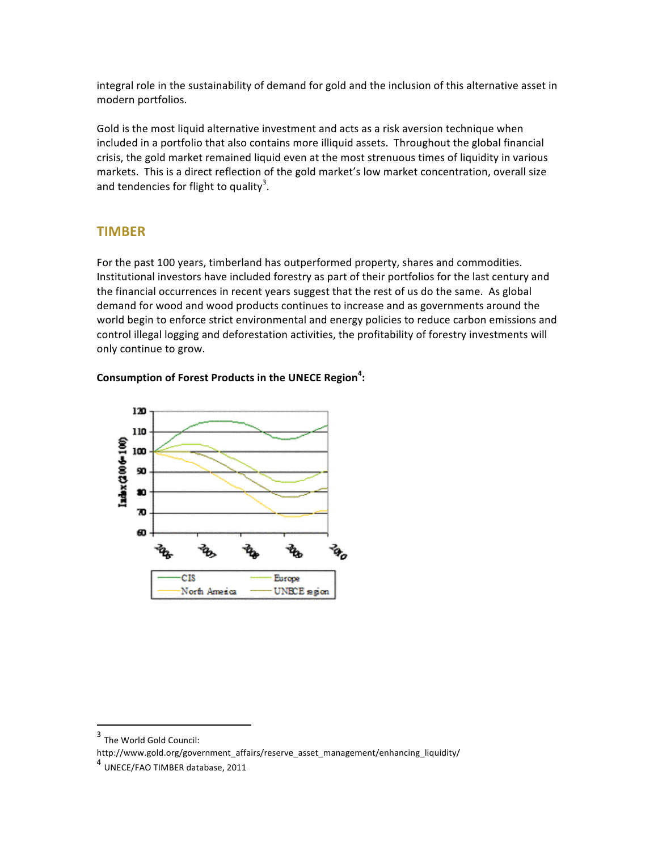integral role in the sustainability of demand for gold and the inclusion of this alternative asset in modern portfolios.

Gold is the most liquid alternative investment and acts as a risk aversion technique when included in a portfolio that also contains more illiquid assets. Throughout the global financial crisis, the gold market remained liquid even at the most strenuous times of liquidity in various markets. This is a direct reflection of the gold market's low market concentration, overall size and tendencies for flight to quality<sup>3</sup>.

# **TIMBER**

For the past 100 years, timberland has outperformed property, shares and commodities. Institutional investors have included forestry as part of their portfolios for the last century and the financial occurrences in recent years suggest that the rest of us do the same. As global demand for wood and wood products continues to increase and as governments around the world begin to enforce strict environmental and energy policies to reduce carbon emissions and control illegal logging and deforestation activities, the profitability of forestry investments will only continue to grow.

# Consumption of Forest Products in the UNECE Region<sup>4</sup>:



<u> 1989 - Johann Stein, markin film yn y breninn y breninn y breninn y breninn y breninn y breninn y breninn y b</u>

<sup>&</sup>lt;sup>3</sup> The World Gold Council:

http://www.gold.org/government\_affairs/reserve\_asset\_management/enhancing\_liquidity/

<sup>&</sup>lt;sup>4</sup> UNECE/FAO TIMBER database, 2011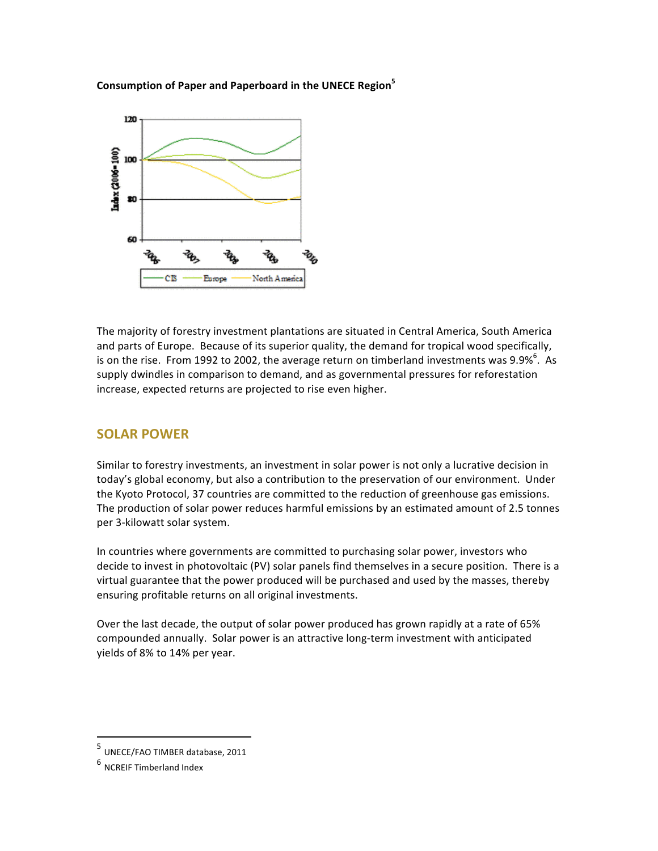**Consumption of Paper and Paperboard in the UNECE Region<sup>5</sup>**



The majority of forestry investment plantations are situated in Central America, South America and parts of Europe. Because of its superior quality, the demand for tropical wood specifically, is on the rise. From 1992 to 2002, the average return on timberland investments was 9.9% $^6$ . As supply dwindles in comparison to demand, and as governmental pressures for reforestation increase, expected returns are projected to rise even higher.

# **SOLAR POWER**

Similar to forestry investments, an investment in solar power is not only a lucrative decision in today's global economy, but also a contribution to the preservation of our environment. Under the Kyoto Protocol, 37 countries are committed to the reduction of greenhouse gas emissions. The production of solar power reduces harmful emissions by an estimated amount of 2.5 tonnes per 3-kilowatt solar system.

In countries where governments are committed to purchasing solar power, investors who decide to invest in photovoltaic (PV) solar panels find themselves in a secure position. There is a virtual guarantee that the power produced will be purchased and used by the masses, thereby ensuring profitable returns on all original investments.

Over the last decade, the output of solar power produced has grown rapidly at a rate of 65% compounded annually. Solar power is an attractive long-term investment with anticipated yields of 8% to 14% per year.

<sup>&</sup>lt;u> 1989 - Johann Stein, markin film yn y breninn y breninn y breninn y breninn y breninn y breninn y breninn y b</u> <sup>5</sup> UNECE/FAO TIMBER database, 2011

 $<sup>6</sup>$  NCREIF Timberland Index</sup>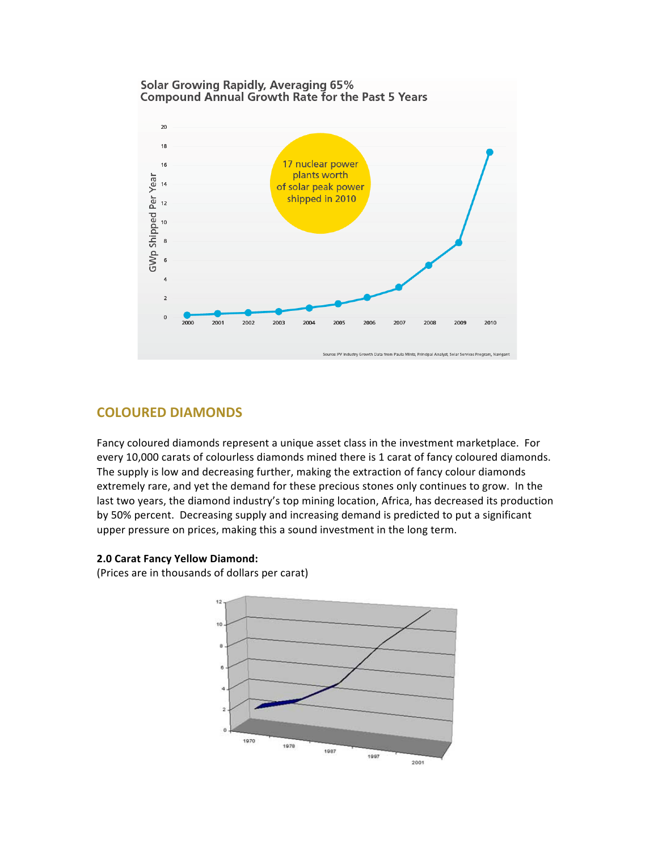## **Solar Growing Rapidly, Averaging 65% Compound Annual Growth Rate for the Past 5 Years**



# **COLOURED DIAMONDS**

Fancy coloured diamonds represent a unique asset class in the investment marketplace. For every 10,000 carats of colourless diamonds mined there is 1 carat of fancy coloured diamonds. The supply is low and decreasing further, making the extraction of fancy colour diamonds extremely rare, and yet the demand for these precious stones only continues to grow. In the last two years, the diamond industry's top mining location, Africa, has decreased its production by 50% percent. Decreasing supply and increasing demand is predicted to put a significant upper pressure on prices, making this a sound investment in the long term.

## **2.0 Carat Fancy Yellow Diamond:**

(Prices are in thousands of dollars per carat)

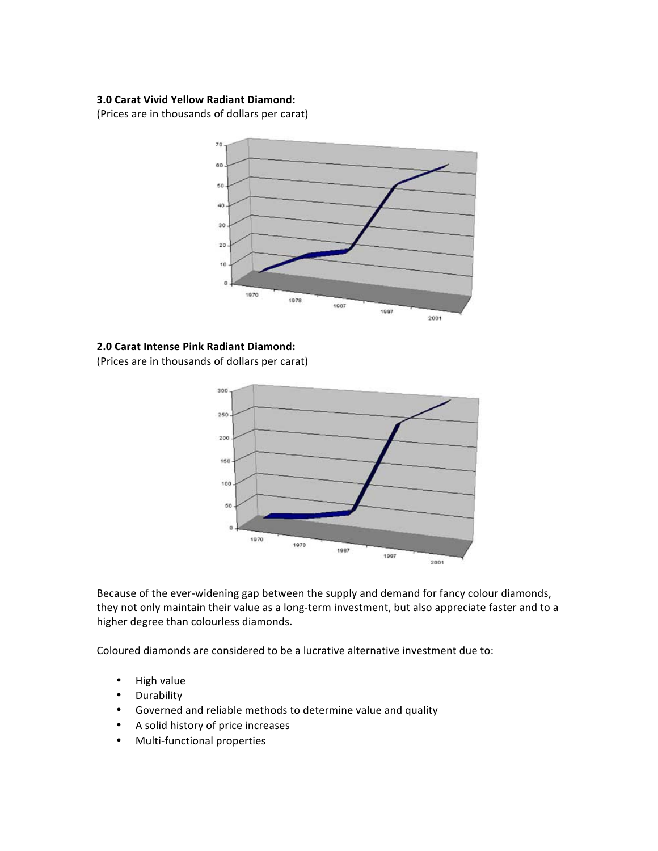## **3.0 Carat Vivid Yellow Radiant Diamond:**

(Prices are in thousands of dollars per carat)



# **2.0 Carat Intense Pink Radiant Diamond:**

(Prices are in thousands of dollars per carat)



Because of the ever-widening gap between the supply and demand for fancy colour diamonds, they not only maintain their value as a long-term investment, but also appreciate faster and to a higher degree than colourless diamonds.

Coloured diamonds are considered to be a lucrative alternative investment due to:

- High value
- Durability
- Governed and reliable methods to determine value and quality
- A solid history of price increases
- Multi-functional properties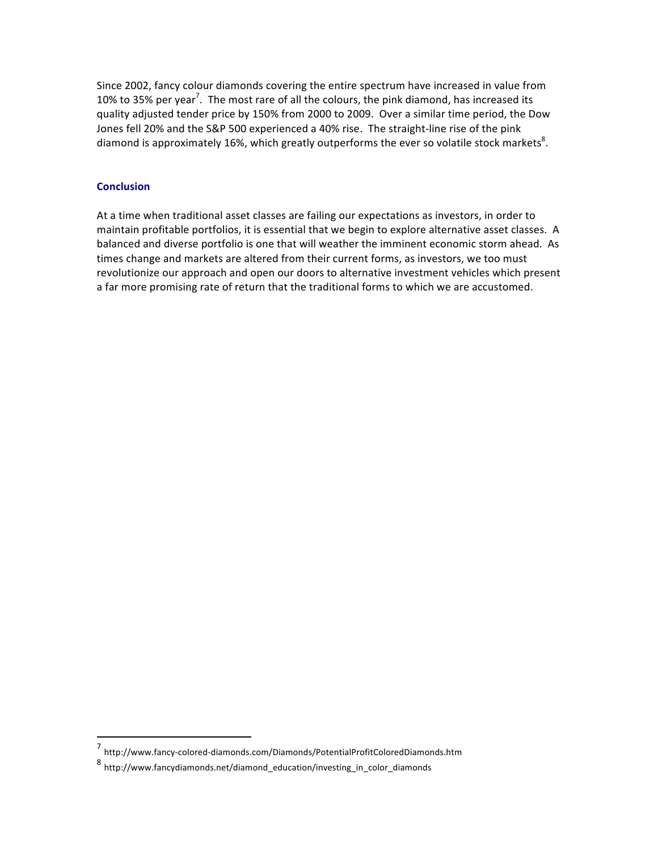Since 2002, fancy colour diamonds covering the entire spectrum have increased in value from 10% to 35% per year<sup>7</sup>. The most rare of all the colours, the pink diamond, has increased its quality adjusted tender price by 150% from 2000 to 2009. Over a similar time period, the Dow Jones fell 20% and the S&P 500 experienced a 40% rise. The straight-line rise of the pink diamond is approximately 16%, which greatly outperforms the ever so volatile stock markets<sup>8</sup>.

### **Conclusion**

At a time when traditional asset classes are failing our expectations as investors, in order to maintain profitable portfolios, it is essential that we begin to explore alternative asset classes. A balanced and diverse portfolio is one that will weather the imminent economic storm ahead. As times change and markets are altered from their current forms, as investors, we too must revolutionize our approach and open our doors to alternative investment vehicles which present a far more promising rate of return that the traditional forms to which we are accustomed.

<u> 1989 - Johann Stein, markin film yn y breninn y breninn y breninn y breninn y breninn y breninn y breninn y b</u>

<sup>7</sup> http://www.fancy-colored-diamonds.com/Diamonds/PotentialProfitColoredDiamonds.htm

 $^8$  http://www.fancydiamonds.net/diamond\_education/investing\_in\_color\_diamonds